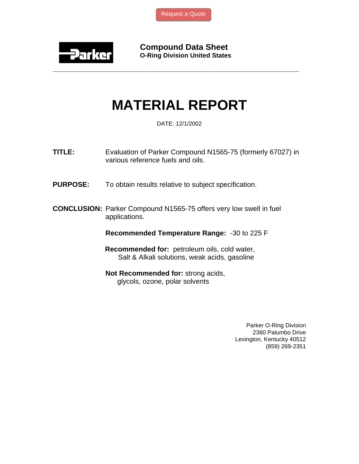

**Compound Data Sheet O-Ring Division United States** 

## **MATERIAL REPORT**

**\_\_\_\_\_\_\_\_\_\_\_\_\_\_\_\_\_\_\_\_\_\_\_\_\_\_\_\_\_\_\_\_\_\_\_\_\_\_\_\_\_\_\_\_\_\_\_\_\_\_\_\_\_\_\_\_\_\_\_\_\_\_\_** 

DATE: 12/1/2002

**TITLE:** Evaluation of Parker Compound N1565-75 (formerly 67027) in various reference fuels and oils.

**PURPOSE:** To obtain results relative to subject specification.

**CONCLUSION:** Parker Compound N1565-75 offers very low swell in fuel applications.

**Recommended Temperature Range:** -30 to 225 F

 **Recommended for:** petroleum oils, cold water, Salt & Alkali solutions, weak acids, gasoline

**Not Recommended for:** strong acids, glycols, ozone, polar solvents

> Parker O-Ring Division 2360 Palumbo Drive Lexington, Kentucky 40512 (859) 269-2351